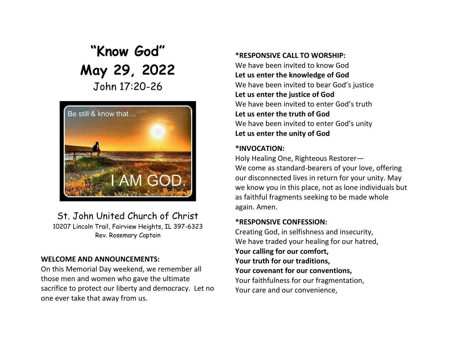# **"Know God" May 29, 2022** John 17:20-26



St. John United Church of Christ 10207 Lincoln Trail, Fairview Heights, IL 397-6323

Rev. Rosemary Captain

# **WELCOME AND ANNOUNCEMENTS:**

On this Memorial Day weekend, we remember all those men and women who gave the ultimate sacrifice to protect our liberty and democracy. Let no one ever take that away from us.

## **\*RESPONSIVE CALL TO WORSHIP:**

We have been invited to know God **Let us enter the knowledge of God** We have been invited to bear God's justice **Let us enter the justice of God** We have been invited to enter God's truth **Let us enter the truth of God** We have been invited to enter God's unity **Let us enter the unity of God**

# **\*INVOCATION:**

Holy Healing One, Righteous Restorer— We come as standard-bearers of your love, offering our disconnected lives in return for your unity. May we know you in this place, not as lone individuals but as faithful fragments seeking to be made whole again. Amen.

# **\*RESPONSIVE CONFESSION:**

Creating God, in selfishness and insecurity, We have traded your healing for our hatred, **Your calling for our comfort, Your truth for our traditions, Your covenant for our conventions,** Your faithfulness for our fragmentation, Your care and our convenience,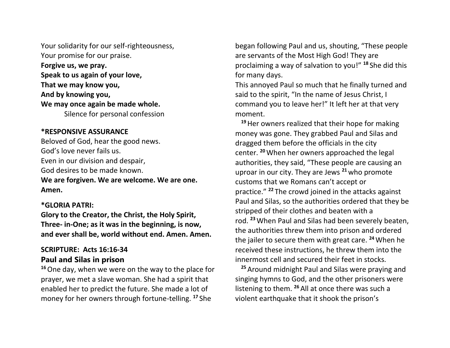Your solidarity for our self-righteousness, Your promise for our praise. **Forgive us, we pray. Speak to us again of your love, That we may know you, And by knowing you, We may once again be made whole.** Silence for personal confession

## **\*RESPONSIVE ASSURANCE**

Beloved of God, hear the good news. God's love never fails us. Even in our division and despair, God desires to be made known. **We are forgiven. We are welcome. We are one. Amen.**

## **\*GLORIA PATRI:**

**Glory to the Creator, the Christ, the Holy Spirit, Three- in-One; as it was in the beginning, is now, and ever shall be, world without end. Amen. Amen.**

# **SCRIPTURE: Acts 16:16-34**

# **Paul and Silas in prison**

**<sup>16</sup>**One day, when we were on the way to the place for prayer, we met a slave woman. She had a spirit that enabled her to predict the future. She made a lot of money for her owners through fortune-telling. **<sup>17</sup>** She

began following Paul and us, shouting, "These people are servants of the Most High God! They are proclaiming a way of salvation to you!" **<sup>18</sup>** She did this for many days.

This annoyed Paul so much that he finally turned and said to the spirit, "In the name of Jesus Christ, I command you to leave her!" It left her at that very moment.

**<sup>19</sup>**Her owners realized that their hope for making money was gone. They grabbed Paul and Silas and dragged them before the officials in the city center. **<sup>20</sup>**When her owners approached the legal authorities, they said, "These people are causing an uproar in our city. They are Jews **<sup>21</sup>** who promote customs that we Romans can't accept or practice." **<sup>22</sup>** The crowd joined in the attacks against Paul and Silas, so the authorities ordered that they be stripped of their clothes and beaten with a rod. **<sup>23</sup>**When Paul and Silas had been severely beaten, the authorities threw them into prison and ordered the jailer to secure them with great care. **<sup>24</sup>**When he received these instructions, he threw them into the innermost cell and secured their feet in stocks.

**<sup>25</sup>** Around midnight Paul and Silas were praying and singing hymns to God, and the other prisoners were listening to them. **<sup>26</sup>** All at once there was such a violent earthquake that it shook the prison's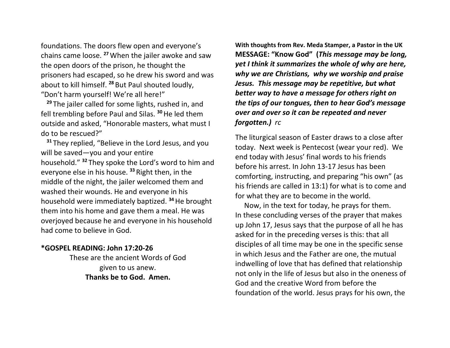foundations. The doors flew open and everyone's chains came loose. **<sup>27</sup>**When the jailer awoke and saw the open doors of the prison, he thought the prisoners had escaped, so he drew his sword and was about to kill himself. **<sup>28</sup>** But Paul shouted loudly, "Don't harm yourself! We're all here!"

**<sup>29</sup>** The jailer called for some lights, rushed in, and fell trembling before Paul and Silas. **<sup>30</sup>**He led them outside and asked, "Honorable masters, what must I do to be rescued?"

**<sup>31</sup>** They replied, "Believe in the Lord Jesus, and you will be saved—you and your entire household." **<sup>32</sup>** They spoke the Lord's word to him and everyone else in his house. **<sup>33</sup>** Right then, in the middle of the night, the jailer welcomed them and washed their wounds. He and everyone in his household were immediately baptized. **<sup>34</sup>**He brought them into his home and gave them a meal. He was overjoyed because he and everyone in his household had come to believe in God.

#### **\*GOSPEL READING: John 17:20-26**

These are the ancient Words of God given to us anew. **Thanks be to God. Amen.**

**With thoughts from Rev. Meda Stamper, a Pastor in the UK MESSAGE: "Know God" (***This message may be long, yet I think it summarizes the whole of why are here, why we are Christians, why we worship and praise Jesus. This message may be repetitive, but what better way to have a message for others right on the tips of our tongues, then to hear God's message over and over so it can be repeated and never forgotten.) rc*

The liturgical season of Easter draws to a close after today. Next week is Pentecost (wear your red). We end today with Jesus' final words to his friends before his arrest. In John 13-17 Jesus has been comforting, instructing, and preparing "his own" (as his friends are called in 13:1) for what is to come and for what they are to become in the world.

 Now, in the text for today, he prays for them. In these concluding verses of the prayer that makes up John 17, Jesus says that the purpose of all he has asked for in the preceding verses is this: that all disciples of all time may be one in the specific sense in which Jesus and the Father are one, the mutual indwelling of love that has defined that relationship not only in the life of Jesus but also in the oneness of God and the creative Word from before the foundation of the world. Jesus prays for his own, the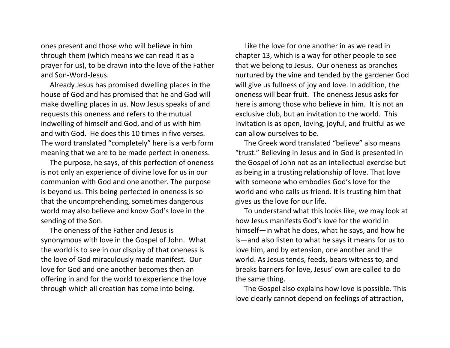ones present and those who will believe in him through them (which means we can read it as a prayer for us), to be drawn into the love of the Father and Son-Word-Jesus.

 Already Jesus has promised dwelling places in the house of God and has promised that he and God will make dwelling places in us. Now Jesus speaks of and requests this oneness and refers to the mutual indwelling of himself and God, and of us with him and with God. He does this 10 times in five verses. The word translated "completely" here is a verb form meaning that we are to be made perfect in oneness.

 The purpose, he says, of this perfection of oneness is not only an experience of divine love for us in our communion with God and one another. The purpose is beyond us. This being perfected in oneness is so that the uncomprehending, sometimes dangerous world may also believe and know God's love in the sending of the Son.

 The oneness of the Father and Jesus is synonymous with love in the Gospel of John. What the world is to see in our display of that oneness is the love of God miraculously made manifest. Our love for God and one another becomes then an offering in and for the world to experience the love through which all creation has come into being.

 Like the love for one another in as we read in chapter 13, which is a way for other people to see that we belong to Jesus. Our oneness as branches nurtured by the vine and tended by the gardener God will give us fullness of joy and love. In addition, the oneness will bear fruit. The oneness Jesus asks for here is among those who believe in him. It is not an exclusive club, but an invitation to the world. This invitation is as open, loving, joyful, and fruitful as we can allow ourselves to be.

 The Greek word translated "believe" also means "trust." Believing in Jesus and in God is presented in the Gospel of John not as an intellectual exercise but as being in a trusting relationship of love. That love with someone who embodies God's love for the world and who calls us friend. It is trusting him that gives us the love for our life.

 To understand what this looks like, we may look at how Jesus manifests God's love for the world in himself—in what he does, what he says, and how he is—and also listen to what he says it means for us to love him, and by extension, one another and the world. As Jesus tends, feeds, bears witness to, and breaks barriers for love, Jesus' own are called to do the same thing.

 The Gospel also explains how love is possible. This love clearly cannot depend on feelings of attraction,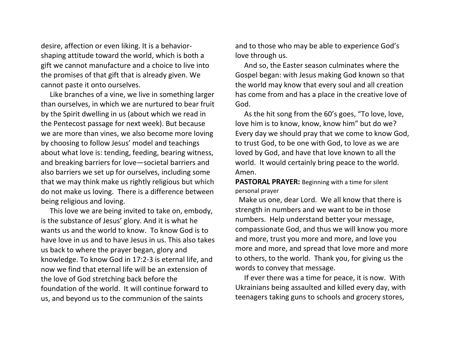desire, affection or even liking. It is a behaviorshaping attitude toward the world, which is both a gift we cannot manufacture and a choice to live into the promises of that gift that is already given. We cannot paste it onto ourselves.

 Like branches of a vine, we live in something larger than ourselves, in which we are nurtured to bear fruit by the Spirit dwelling in us (about which we read in the Pentecost passage for next week). But because we are more than vines, we also become more loving by choosing to follow Jesus' model and teachings about what love is: tending, feeding, bearing witness, and breaking barriers for love—societal barriers and also barriers we set up for ourselves, including some that we may think make us rightly religious but **which**  do not make us loving. There is a difference between being religious and loving.

 This love we are being invited to take on, embody, is the substance of Jesus' glory. And it is what he wants us and the world to know. To know God is to have love in us and to have Jesus in us. This also takes us back to where the prayer began, glory and knowledge. To know God in 17:2-3 is eternal life, and now we find that eternal life will be an extension of the love of God stretching back before the foundation of the world. It will continue forward to us, and beyond us to the communion of the saints

and to those who may be able to experience God's love through us.

 And so, the Easter season culminates where the Gospel began: with Jesus making God known so that the world may know that every soul and all creation has come from and has a place in the creative love of God.

 As the hit song from the 60's goes, "To love, love, love him is to know, know, know him" but do we? Every day we should pray that we come to know God, to trust God, to be one with God, to love as we are loved by God, and have that love known to all the world. It would certainly bring peace to the world. Amen.

**PASTORAL PRAYER:** Beginning with a time for silent personal prayer

 Make us one, dear Lord. We all know that there is strength in numbers and we want to be in those numbers. Help understand better your message, compassionate God, and thus we will know you more and more, trust you more and more, and love you more and more, and spread that love more and more to others, to the world. Thank you, for giving us the words to convey that message.

 If ever there was a time for peace, it is now. With Ukrainians being assaulted and killed every day, with teenagers taking guns to schools and grocery stores,